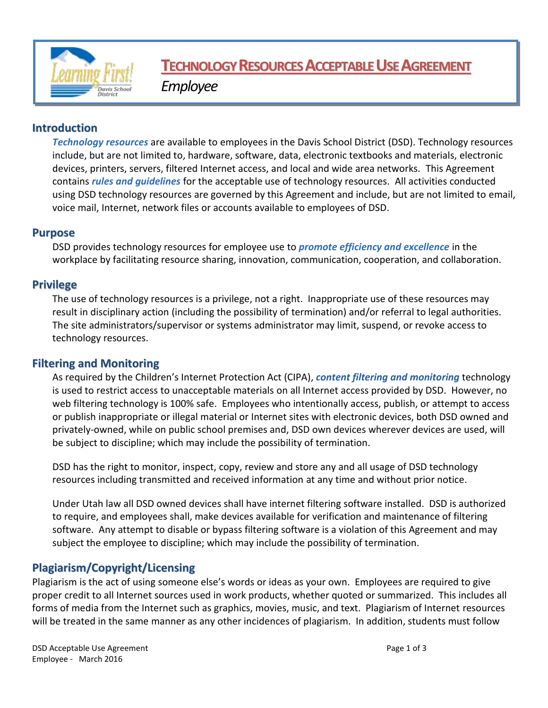

# **TECHNOLOGYRESOURCESACCEPTABLEUSEAGREEMENT**

*Employee*

# **Introduction**

*Technology resources* are available to employees in the Davis School District (DSD). Technology resources include, but are not limited to, hardware, software, data, electronic textbooks and materials, electronic devices, printers, servers, filtered Internet access, and local and wide area networks. This Agreement contains *rules and guidelines* for the acceptable use of technology resources. All activities conducted using DSD technology resources are governed by this Agreement and include, but are not limited to email, voice mail, Internet, network files or accounts available to employees of DSD.

## **Purpose**

DSD provides technology resources for employee use to *promote efficiency and excellence* in the workplace by facilitating resource sharing, innovation, communication, cooperation, and collaboration.

# **Privilege**

The use of technology resources is a privilege, not a right. Inappropriate use of these resources may result in disciplinary action (including the possibility of termination) and/or referral to legal authorities. The site administrators/supervisor or systems administrator may limit, suspend, or revoke access to technology resources.

# **Filtering and Monitoring**

As required by the Children's Internet Protection Act (CIPA), *content filtering and monitoring* technology is used to restrict access to unacceptable materials on all Internet access provided by DSD. However, no web filtering technology is 100% safe. Employees who intentionally access, publish, or attempt to access or publish inappropriate or illegal material or Internet sites with electronic devices, both DSD owned and privately-owned, while on public school premises and, DSD own devices wherever devices are used, will be subject to discipline; which may include the possibility of termination.

DSD has the right to monitor, inspect, copy, review and store any and all usage of DSD technology resources including transmitted and received information at any time and without prior notice.

Under Utah law all DSD owned devices shall have internet filtering software installed. DSD is authorized to require, and employees shall, make devices available for verification and maintenance of filtering software. Any attempt to disable or bypass filtering software is a violation of this Agreement and may subject the employee to discipline; which may include the possibility of termination.

# **Plagiarism/Copyright/Licensing**

Plagiarism is the act of using someone else's words or ideas as your own. Employees are required to give proper credit to all Internet sources used in work products, whether quoted or summarized. This includes all forms of media from the Internet such as graphics, movies, music, and text. Plagiarism of Internet resources will be treated in the same manner as any other incidences of plagiarism. In addition, students must follow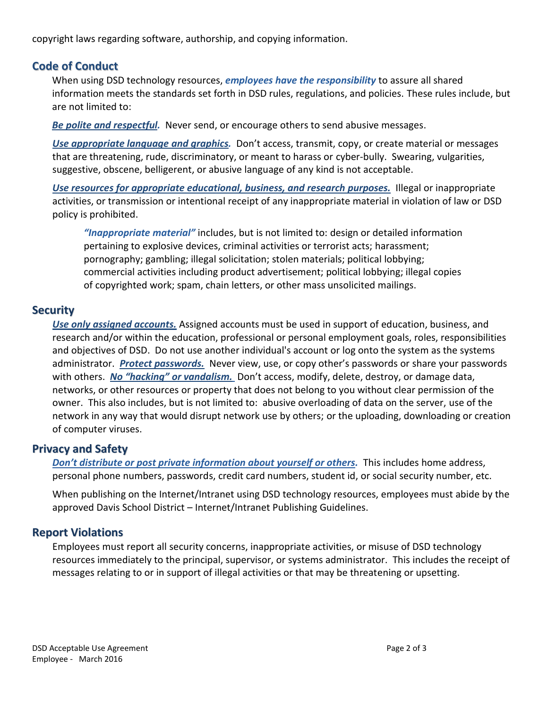copyright laws regarding software, authorship, and copying information.

## **Code of Conduct**

When using DSD technology resources, *employees have the responsibility* to assure all shared information meets the standards set forth in DSD rules, regulations, and policies. These rules include, but are not limited to:

*Be polite and respectful.* Never send, or encourage others to send abusive messages.

*Use appropriate language and graphics.* Don't access, transmit, copy, or create material or messages that are threatening, rude, discriminatory, or meant to harass or cyber-bully. Swearing, vulgarities, suggestive, obscene, belligerent, or abusive language of any kind is not acceptable.

*Use resources for appropriate educational, business, and research purposes.* Illegal or inappropriate activities, or transmission or intentional receipt of any inappropriate material in violation of law or DSD policy is prohibited.

*"Inappropriate material"* includes, but is not limited to: design or detailed information pertaining to explosive devices, criminal activities or terrorist acts; harassment; pornography; gambling; illegal solicitation; stolen materials; political lobbying; commercial activities including product advertisement; political lobbying; illegal copies of copyrighted work; spam, chain letters, or other mass unsolicited mailings.

## **Security**

*Use only assigned accounts.* Assigned accounts must be used in support of education, business, and research and/or within the education, professional or personal employment goals, roles, responsibilities and objectives of DSD. Do not use another individual's account or log onto the system as the systems administrator. *Protect passwords.* Never view, use, or copy other's passwords or share your passwords with others. *No "hacking" or vandalism.* Don't access, modify, delete, destroy, or damage data, networks, or other resources or property that does not belong to you without clear permission of the owner. This also includes, but is not limited to: abusive overloading of data on the server, use of the network in any way that would disrupt network use by others; or the uploading, downloading or creation of computer viruses.

## **Privacy and Safety**

*Don't distribute or post private information about yourself or others.* This includes home address, personal phone numbers, passwords, credit card numbers, student id, or social security number, etc.

When publishing on the Internet/Intranet using DSD technology resources, employees must abide by the approved Davis School District – Internet/Intranet Publishing Guidelines.

## **Report Violations**

Employees must report all security concerns, inappropriate activities, or misuse of DSD technology resources immediately to the principal, supervisor, or systems administrator. This includes the receipt of messages relating to or in support of illegal activities or that may be threatening or upsetting.